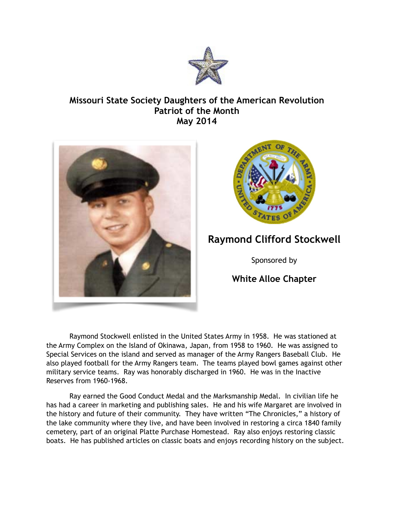

## **Missouri State Society Daughters of the American Revolution Patriot of the Month May 2014**





## **Raymond Clifford Stockwell**

Sponsored by

## **White Alloe Chapter**

 Raymond Stockwell enlisted in the United States Army in 1958. He was stationed at the Army Complex on the Island of Okinawa, Japan, from 1958 to 1960. He was assigned to Special Services on the island and served as manager of the Army Rangers Baseball Club. He also played football for the Army Rangers team. The teams played bowl games against other military service teams. Ray was honorably discharged in 1960. He was in the Inactive Reserves from 1960-1968.

 Ray earned the Good Conduct Medal and the Marksmanship Medal. In civilian life he has had a career in marketing and publishing sales. He and his wife Margaret are involved in the history and future of their community. They have written "The Chronicles," a history of the lake community where they live, and have been involved in restoring a circa 1840 family cemetery, part of an original Platte Purchase Homestead. Ray also enjoys restoring classic boats. He has published articles on classic boats and enjoys recording history on the subject.